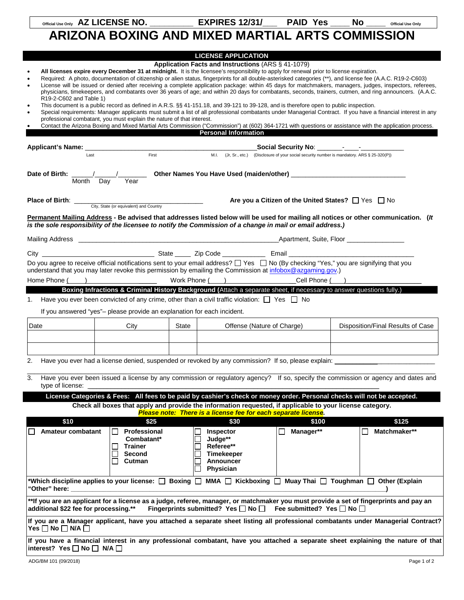|  | Official Use Only AZ LICENSE NO. | <b>EXPIRES 12/31/</b> | <b>PAID Yes</b> |  | <b>Official Use Only</b> |
|--|----------------------------------|-----------------------|-----------------|--|--------------------------|
|--|----------------------------------|-----------------------|-----------------|--|--------------------------|

## **ARIZONA BOXING AND MIXED MARTIAL ARTS COMMISSION**

| R19-2-C602 and Table 1)                                                                                                                                              |                                                                                                                                                                                                                                                                                                                                                                                 |       | <b>LICENSE APPLICATION</b>                   | Application Facts and Instructions (ARS § 41-1079)<br>All licenses expire every December 31 at midnight. It is the licensee's responsibility to apply for renewal prior to license expiration.                                 | Required: A photo, documentation of citizenship or alien status, fingerprints for all double-asterisked categories (**), and license fee (A.A.C. R19-2-C603)<br>License will be issued or denied after receiving a complete application package: within 45 days for matchmakers, managers, judges, inspectors, referees,<br>physicians, timekeepers, and combatants over 36 years of age; and within 20 days for combatants, seconds, trainers, cutmen, and ring announcers. (A.A.C. |  |
|----------------------------------------------------------------------------------------------------------------------------------------------------------------------|---------------------------------------------------------------------------------------------------------------------------------------------------------------------------------------------------------------------------------------------------------------------------------------------------------------------------------------------------------------------------------|-------|----------------------------------------------|--------------------------------------------------------------------------------------------------------------------------------------------------------------------------------------------------------------------------------|--------------------------------------------------------------------------------------------------------------------------------------------------------------------------------------------------------------------------------------------------------------------------------------------------------------------------------------------------------------------------------------------------------------------------------------------------------------------------------------|--|
| $\bullet$                                                                                                                                                            | This document is a public record as defined in A.R.S. §§ 41-151.18, and 39-121 to 39-128, and is therefore open to public inspection.<br>Special requirements: Manager applicants must submit a list of all professional combatants under Managerial Contract. If you have a financial interest in any<br>professional combatant, you must explain the nature of that interest. |       |                                              |                                                                                                                                                                                                                                |                                                                                                                                                                                                                                                                                                                                                                                                                                                                                      |  |
|                                                                                                                                                                      |                                                                                                                                                                                                                                                                                                                                                                                 |       | <b>Personal Information</b>                  |                                                                                                                                                                                                                                | Contact the Arizona Boxing and Mixed Martial Arts Commission ("Commission") at (602) 364-1721 with questions or assistance with the application process.                                                                                                                                                                                                                                                                                                                             |  |
|                                                                                                                                                                      |                                                                                                                                                                                                                                                                                                                                                                                 |       |                                              |                                                                                                                                                                                                                                |                                                                                                                                                                                                                                                                                                                                                                                                                                                                                      |  |
|                                                                                                                                                                      |                                                                                                                                                                                                                                                                                                                                                                                 |       |                                              | Social Security No: The Contract of the Social Security No: The Contract of the Contract of the Contract of the Contract of the Contract of the Contract of the Contract of the Contract of the Contract of the Contract of th |                                                                                                                                                                                                                                                                                                                                                                                                                                                                                      |  |
|                                                                                                                                                                      |                                                                                                                                                                                                                                                                                                                                                                                 |       |                                              |                                                                                                                                                                                                                                |                                                                                                                                                                                                                                                                                                                                                                                                                                                                                      |  |
| Month Day                                                                                                                                                            | Year                                                                                                                                                                                                                                                                                                                                                                            |       |                                              |                                                                                                                                                                                                                                |                                                                                                                                                                                                                                                                                                                                                                                                                                                                                      |  |
| <b>Place of Birth:</b> City, State (or equivalent) and Country                                                                                                       |                                                                                                                                                                                                                                                                                                                                                                                 |       |                                              | Are you a Citizen of the United States? $\Box$ Yes $\Box$ No                                                                                                                                                                   |                                                                                                                                                                                                                                                                                                                                                                                                                                                                                      |  |
|                                                                                                                                                                      |                                                                                                                                                                                                                                                                                                                                                                                 |       |                                              | is the sole responsibility of the licensee to notify the Commission of a change in mail or email address.)                                                                                                                     | Permanent Mailing Address - Be advised that addresses listed below will be used for mailing all notices or other communication. (It                                                                                                                                                                                                                                                                                                                                                  |  |
|                                                                                                                                                                      |                                                                                                                                                                                                                                                                                                                                                                                 |       |                                              |                                                                                                                                                                                                                                |                                                                                                                                                                                                                                                                                                                                                                                                                                                                                      |  |
|                                                                                                                                                                      |                                                                                                                                                                                                                                                                                                                                                                                 |       |                                              |                                                                                                                                                                                                                                |                                                                                                                                                                                                                                                                                                                                                                                                                                                                                      |  |
|                                                                                                                                                                      |                                                                                                                                                                                                                                                                                                                                                                                 |       |                                              | understand that you may later revoke this permission by emailing the Commission at infobox@azgaming.gov.)                                                                                                                      | Do you agree to receive official notifications sent to your email address? $\Box$ Yes $\Box$ No (By checking "Yes," you are signifying that you                                                                                                                                                                                                                                                                                                                                      |  |
|                                                                                                                                                                      |                                                                                                                                                                                                                                                                                                                                                                                 |       |                                              | Work Phone ( ) Cell Phone ( )                                                                                                                                                                                                  |                                                                                                                                                                                                                                                                                                                                                                                                                                                                                      |  |
|                                                                                                                                                                      |                                                                                                                                                                                                                                                                                                                                                                                 |       |                                              | Boxing Infractions & Criminal History Background (Attach a separate sheet, if necessary to answer questions fully.)                                                                                                            |                                                                                                                                                                                                                                                                                                                                                                                                                                                                                      |  |
| 1.                                                                                                                                                                   | Have you ever been convicted of any crime, other than a civil traffic violation: $\Box$ Yes $\Box$ No                                                                                                                                                                                                                                                                           |       |                                              |                                                                                                                                                                                                                                |                                                                                                                                                                                                                                                                                                                                                                                                                                                                                      |  |
|                                                                                                                                                                      | If you answered "yes"- please provide an explanation for each incident.                                                                                                                                                                                                                                                                                                         |       |                                              |                                                                                                                                                                                                                                |                                                                                                                                                                                                                                                                                                                                                                                                                                                                                      |  |
| Date                                                                                                                                                                 | City                                                                                                                                                                                                                                                                                                                                                                            | State |                                              | Offense (Nature of Charge)                                                                                                                                                                                                     | Disposition/Final Results of Case                                                                                                                                                                                                                                                                                                                                                                                                                                                    |  |
|                                                                                                                                                                      |                                                                                                                                                                                                                                                                                                                                                                                 |       |                                              |                                                                                                                                                                                                                                |                                                                                                                                                                                                                                                                                                                                                                                                                                                                                      |  |
|                                                                                                                                                                      |                                                                                                                                                                                                                                                                                                                                                                                 |       |                                              |                                                                                                                                                                                                                                |                                                                                                                                                                                                                                                                                                                                                                                                                                                                                      |  |
| 2.                                                                                                                                                                   |                                                                                                                                                                                                                                                                                                                                                                                 |       |                                              |                                                                                                                                                                                                                                |                                                                                                                                                                                                                                                                                                                                                                                                                                                                                      |  |
| 3.<br>type of license:                                                                                                                                               |                                                                                                                                                                                                                                                                                                                                                                                 |       |                                              |                                                                                                                                                                                                                                | Have you ever been issued a license by any commission or regulatory agency? If so, specify the commission or agency and dates and                                                                                                                                                                                                                                                                                                                                                    |  |
|                                                                                                                                                                      |                                                                                                                                                                                                                                                                                                                                                                                 |       |                                              |                                                                                                                                                                                                                                | License Categories & Fees: All fees to be paid by cashier's check or money order. Personal checks will not be accepted.                                                                                                                                                                                                                                                                                                                                                              |  |
|                                                                                                                                                                      |                                                                                                                                                                                                                                                                                                                                                                                 |       |                                              | Check all boxes that apply and provide the information requested, if applicable to your license category.<br>Please note: There is a license fee for each separate license.                                                    |                                                                                                                                                                                                                                                                                                                                                                                                                                                                                      |  |
| \$10                                                                                                                                                                 | \$25                                                                                                                                                                                                                                                                                                                                                                            |       | \$30                                         | \$100                                                                                                                                                                                                                          | \$125                                                                                                                                                                                                                                                                                                                                                                                                                                                                                |  |
| Amateur combatant                                                                                                                                                    | Professional                                                                                                                                                                                                                                                                                                                                                                    |       | Inspector                                    | Manager**<br>ப                                                                                                                                                                                                                 | Matchmaker**                                                                                                                                                                                                                                                                                                                                                                                                                                                                         |  |
|                                                                                                                                                                      | Combatant*<br><b>Trainer</b>                                                                                                                                                                                                                                                                                                                                                    |       | Judge**<br>Referee**                         |                                                                                                                                                                                                                                |                                                                                                                                                                                                                                                                                                                                                                                                                                                                                      |  |
|                                                                                                                                                                      | Second                                                                                                                                                                                                                                                                                                                                                                          |       | <b>Timekeeper</b>                            |                                                                                                                                                                                                                                |                                                                                                                                                                                                                                                                                                                                                                                                                                                                                      |  |
|                                                                                                                                                                      | Cutman                                                                                                                                                                                                                                                                                                                                                                          |       | <b>Announcer</b><br>Physician                |                                                                                                                                                                                                                                |                                                                                                                                                                                                                                                                                                                                                                                                                                                                                      |  |
| *Which discipline applies to your license: $\Box$ Boxing $\Box$<br>"Other" here: _                                                                                   |                                                                                                                                                                                                                                                                                                                                                                                 |       |                                              | MMA $\Box$ Kickboxing $\Box$ Muay Thai $\Box$ Toughman $\Box$                                                                                                                                                                  | <b>Other (Explain</b>                                                                                                                                                                                                                                                                                                                                                                                                                                                                |  |
| additional \$22 fee for processing.**                                                                                                                                |                                                                                                                                                                                                                                                                                                                                                                                 |       | Fingerprints submitted? Yes $\Box$ No $\Box$ | Fee submitted? Yes $\Box$ No $\Box$                                                                                                                                                                                            | **If you are an applicant for a license as a judge, referee, manager, or matchmaker you must provide a set of fingerprints and pay an                                                                                                                                                                                                                                                                                                                                                |  |
| If you are a Manager applicant, have you attached a separate sheet listing all professional combatants under Managerial Contract?<br>Yes $\Box$ No $\Box$ N/A $\Box$ |                                                                                                                                                                                                                                                                                                                                                                                 |       |                                              |                                                                                                                                                                                                                                |                                                                                                                                                                                                                                                                                                                                                                                                                                                                                      |  |
| interest? Yes $\Box$ No $\Box$ N/A $\Box$                                                                                                                            |                                                                                                                                                                                                                                                                                                                                                                                 |       |                                              |                                                                                                                                                                                                                                | If you have a financial interest in any professional combatant, have you attached a separate sheet explaining the nature of that                                                                                                                                                                                                                                                                                                                                                     |  |